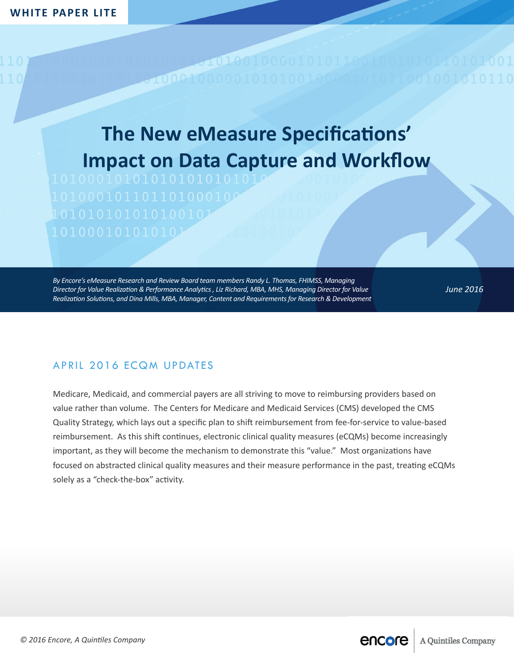## **The New eMeasure Specifications' Impact on Data Capture and Workflow**

 $0001$ 

*By Encore's eMeasure Research and Review Board team members Randy L. Thomas, FHIMSS, Managing Director for Value Realization & Performance Analytics , Liz Richard, MBA, MHS, Managing Director for Value Realization Solutions, and Dina Mills, MBA, Manager, Content and Requirements for Research & Development*

*June 2016*

## APRIL 2016 ECQM UPDATES

Medicare, Medicaid, and commercial payers are all striving to move to reimbursing providers based on value rather than volume. The Centers for Medicare and Medicaid Services (CMS) developed the CMS Quality Strategy, which lays out a specific plan to shift reimbursement from fee-for-service to value-based reimbursement. As this shift continues, electronic clinical quality measures (eCQMs) become increasingly important, as they will become the mechanism to demonstrate this "value." Most organizations have focused on abstracted clinical quality measures and their measure performance in the past, treating eCQMs solely as a "check-the-box" activity.

**encore** | A Quintiles Company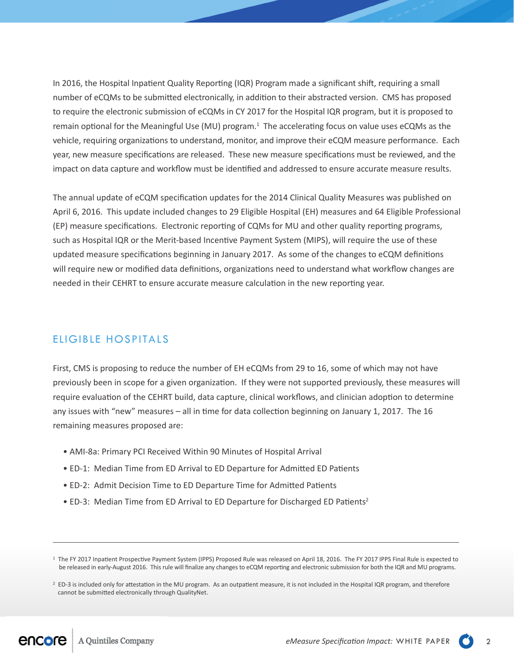In 2016, the Hospital Inpatient Quality Reporting (IQR) Program made a significant shift, requiring a small number of eCQMs to be submitted electronically, in addition to their abstracted version. CMS has proposed to require the electronic submission of eCQMs in CY 2017 for the Hospital IQR program, but it is proposed to remain optional for the Meaningful Use (MU) program.<sup>1</sup> The accelerating focus on value uses eCQMs as the vehicle, requiring organizations to understand, monitor, and improve their eCQM measure performance. Each year, new measure specifications are released. These new measure specifications must be reviewed, and the impact on data capture and workflow must be identified and addressed to ensure accurate measure results.

The annual update of eCQM specification updates for the 2014 Clinical Quality Measures was published on April 6, 2016. This update included changes to 29 Eligible Hospital (EH) measures and 64 Eligible Professional (EP) measure specifications. Electronic reporting of CQMs for MU and other quality reporting programs, such as Hospital IQR or the Merit-based Incentive Payment System (MIPS), will require the use of these updated measure specifications beginning in January 2017. As some of the changes to eCQM definitions will require new or modified data definitions, organizations need to understand what workflow changes are needed in their CEHRT to ensure accurate measure calculation in the new reporting year.

## ELIGIBLE HOSPITALS

First, CMS is proposing to reduce the number of EH eCQMs from 29 to 16, some of which may not have previously been in scope for a given organization. If they were not supported previously, these measures will require evaluation of the CEHRT build, data capture, clinical workflows, and clinician adoption to determine any issues with "new" measures – all in time for data collection beginning on January 1, 2017. The 16 remaining measures proposed are:

- AMI-8a: Primary PCI Received Within 90 Minutes of Hospital Arrival
- ED-1: Median Time from ED Arrival to ED Departure for Admitted ED Patients
- ED-2: Admit Decision Time to ED Departure Time for Admitted Patients
- ED-3: Median Time from ED Arrival to ED Departure for Discharged ED Patients<sup>2</sup>

<sup>1</sup> The FY 2017 Inpatient Prospective Payment System (IPPS) Proposed Rule was released on April 18, 2016. The FY 2017 IPPS Final Rule is expected to be released in early-August 2016. This rule will finalize any changes to eCQM reporting and electronic submission for both the IQR and MU programs.

<sup>&</sup>lt;sup>2</sup> ED-3 is included only for attestation in the MU program. As an outpatient measure, it is not included in the Hospital IQR program, and therefore cannot be submitted electronically through QualityNet.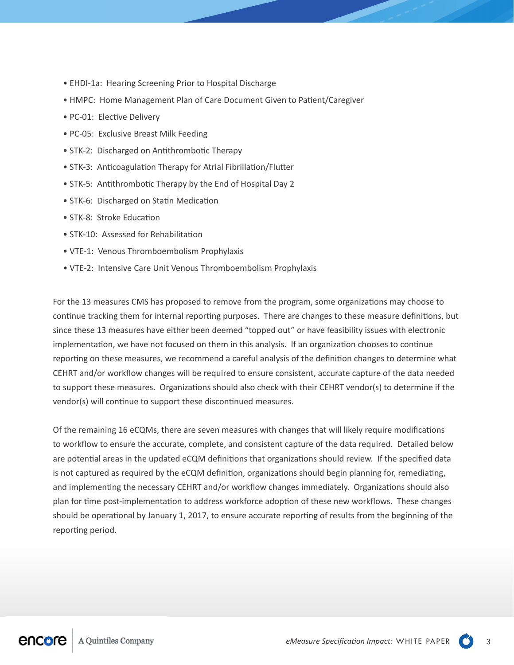- EHDI-1a: Hearing Screening Prior to Hospital Discharge
- HMPC: Home Management Plan of Care Document Given to Patient/Caregiver
- PC-01: Elective Delivery
- PC-05: Exclusive Breast Milk Feeding
- STK-2: Discharged on Antithrombotic Therapy
- STK-3: Anticoagulation Therapy for Atrial Fibrillation/Flutter
- STK-5: Antithrombotic Therapy by the End of Hospital Day 2
- STK-6: Discharged on Statin Medication
- STK-8: Stroke Education
- STK-10: Assessed for Rehabilitation
- VTE-1: Venous Thromboembolism Prophylaxis
- VTE-2: Intensive Care Unit Venous Thromboembolism Prophylaxis

For the 13 measures CMS has proposed to remove from the program, some organizations may choose to continue tracking them for internal reporting purposes. There are changes to these measure definitions, but since these 13 measures have either been deemed "topped out" or have feasibility issues with electronic implementation, we have not focused on them in this analysis. If an organization chooses to continue reporting on these measures, we recommend a careful analysis of the definition changes to determine what CEHRT and/or workflow changes will be required to ensure consistent, accurate capture of the data needed to support these measures. Organizations should also check with their CEHRT vendor(s) to determine if the vendor(s) will continue to support these discontinued measures.

Of the remaining 16 eCQMs, there are seven measures with changes that will likely require modifications to workflow to ensure the accurate, complete, and consistent capture of the data required. Detailed below are potential areas in the updated eCQM definitions that organizations should review. If the specified data is not captured as required by the eCQM definition, organizations should begin planning for, remediating, and implementing the necessary CEHRT and/or workflow changes immediately. Organizations should also plan for time post-implementation to address workforce adoption of these new workflows. These changes should be operational by January 1, 2017, to ensure accurate reporting of results from the beginning of the reporting period.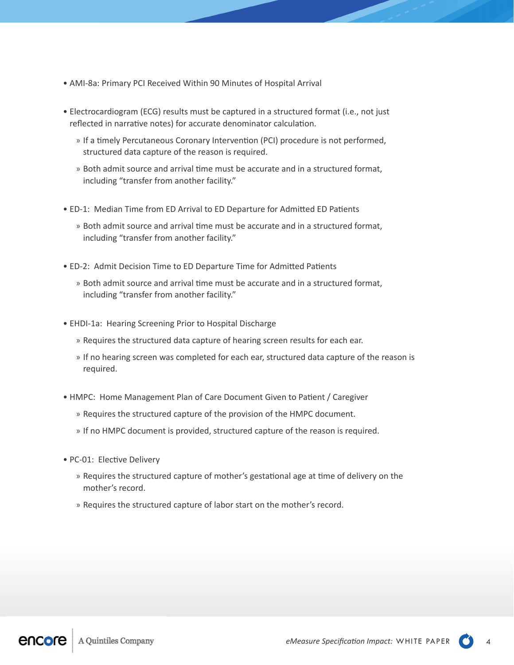- AMI-8a: Primary PCI Received Within 90 Minutes of Hospital Arrival
- Electrocardiogram (ECG) results must be captured in a structured format (i.e., not just reflected in narrative notes) for accurate denominator calculation.
	- » If a timely Percutaneous Coronary Intervention (PCI) procedure is not performed, structured data capture of the reason is required.
	- » Both admit source and arrival time must be accurate and in a structured format, including "transfer from another facility."
- ED-1: Median Time from ED Arrival to ED Departure for Admitted ED Patients
	- » Both admit source and arrival time must be accurate and in a structured format, including "transfer from another facility."
- ED-2: Admit Decision Time to ED Departure Time for Admitted Patients
	- » Both admit source and arrival time must be accurate and in a structured format, including "transfer from another facility."
- EHDI-1a: Hearing Screening Prior to Hospital Discharge
	- » Requires the structured data capture of hearing screen results for each ear.
	- » If no hearing screen was completed for each ear, structured data capture of the reason is required.
- HMPC: Home Management Plan of Care Document Given to Patient / Caregiver
	- » Requires the structured capture of the provision of the HMPC document.
	- » If no HMPC document is provided, structured capture of the reason is required.
- PC-01: Elective Delivery
	- » Requires the structured capture of mother's gestational age at time of delivery on the mother's record.
	- » Requires the structured capture of labor start on the mother's record.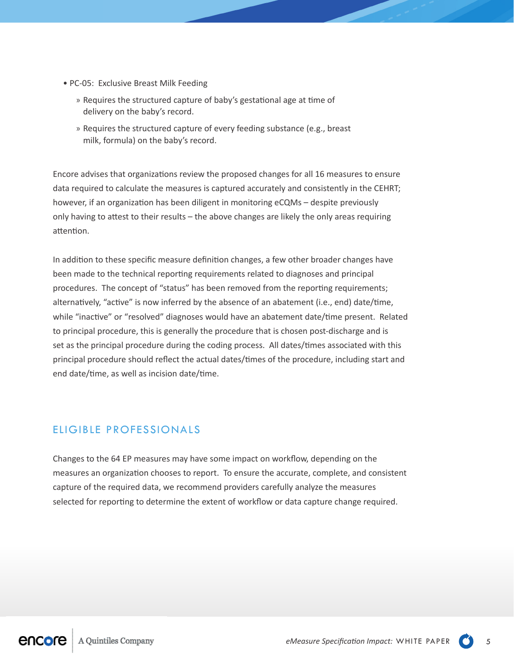- PC-05: Exclusive Breast Milk Feeding
	- » Requires the structured capture of baby's gestational age at time of delivery on the baby's record.
	- » Requires the structured capture of every feeding substance (e.g., breast milk, formula) on the baby's record.

Encore advises that organizations review the proposed changes for all 16 measures to ensure data required to calculate the measures is captured accurately and consistently in the CEHRT; however, if an organization has been diligent in monitoring eCQMs – despite previously only having to attest to their results – the above changes are likely the only areas requiring attention.

In addition to these specific measure definition changes, a few other broader changes have been made to the technical reporting requirements related to diagnoses and principal procedures. The concept of "status" has been removed from the reporting requirements; alternatively, "active" is now inferred by the absence of an abatement (i.e., end) date/time, while "inactive" or "resolved" diagnoses would have an abatement date/time present. Related to principal procedure, this is generally the procedure that is chosen post-discharge and is set as the principal procedure during the coding process. All dates/times associated with this principal procedure should reflect the actual dates/times of the procedure, including start and end date/time, as well as incision date/time.

## ELIGIBLE PROFESSIONALS

Changes to the 64 EP measures may have some impact on workflow, depending on the measures an organization chooses to report. To ensure the accurate, complete, and consistent capture of the required data, we recommend providers carefully analyze the measures selected for reporting to determine the extent of workflow or data capture change required.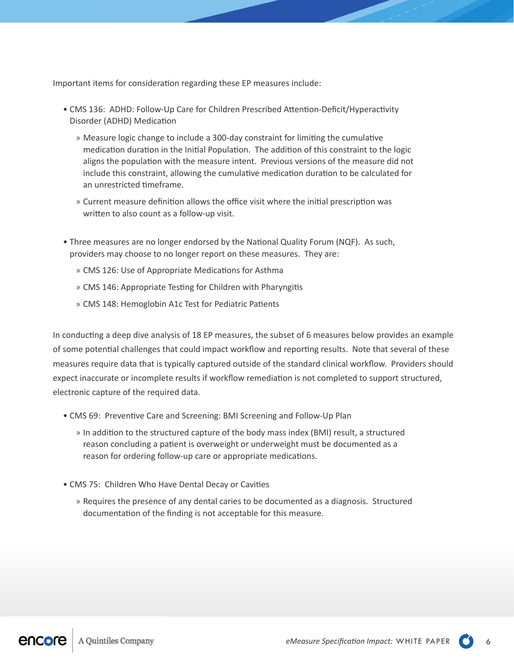Important items for consideration regarding these EP measures include:

- CMS 136: ADHD: Follow-Up Care for Children Prescribed Attention-Deficit/Hyperactivity Disorder (ADHD) Medication
	- » Measure logic change to include a 300-day constraint for limiting the cumulative medication duration in the Initial Population. The addition of this constraint to the logic aligns the population with the measure intent. Previous versions of the measure did not include this constraint, allowing the cumulative medication duration to be calculated for an unrestricted timeframe.
	- » Current measure definition allows the office visit where the initial prescription was written to also count as a follow-up visit.
- Three measures are no longer endorsed by the National Quality Forum (NQF). As such, providers may choose to no longer report on these measures. They are:
	- » CMS 126: Use of Appropriate Medications for Asthma
	- » CMS 146: Appropriate Testing for Children with Pharyngitis
	- » CMS 148: Hemoglobin A1c Test for Pediatric Patients

In conducting a deep dive analysis of 18 EP measures, the subset of 6 measures below provides an example of some potential challenges that could impact workflow and reporting results. Note that several of these measures require data that is typically captured outside of the standard clinical workflow. Providers should expect inaccurate or incomplete results if workflow remediation is not completed to support structured, electronic capture of the required data.

- CMS 69: Preventive Care and Screening: BMI Screening and Follow-Up Plan
	- » In addition to the structured capture of the body mass index (BMI) result, a structured reason concluding a patient is overweight or underweight must be documented as a reason for ordering follow-up care or appropriate medications.
- CMS 75: Children Who Have Dental Decay or Cavities
	- » Requires the presence of any dental caries to be documented as a diagnosis. Structured documentation of the finding is not acceptable for this measure.

encore A Quintiles Company

*eMeasure Specification Impact:* WHITE PAPER 6